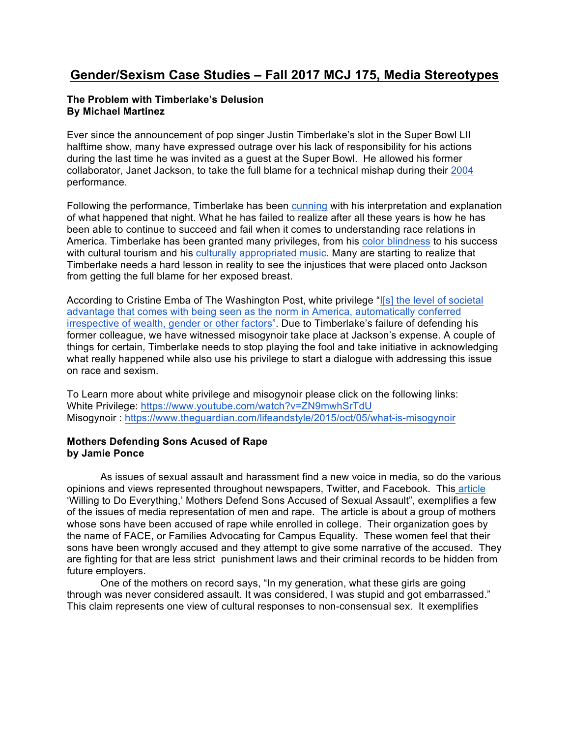# **Gender/Sexism Case Studies – Fall 2017 MCJ 175, Media Stereotypes**

#### **The Problem with Timberlake's Delusion By Michael Martinez**

Ever since the announcement of pop singer Justin Timberlake's slot in the Super Bowl LII halftime show, many have expressed outrage over his lack of responsibility for his actions during the last time he was invited as a guest at the Super Bowl. He allowed his former collaborator, Janet Jackson, to take the full blame for a technical mishap during their 2004 performance.

Following the performance, Timberlake has been cunning with his interpretation and explanation of what happened that night. What he has failed to realize after all these years is how he has been able to continue to succeed and fail when it comes to understanding race relations in America. Timberlake has been granted many privileges, from his color blindness to his success with cultural tourism and his culturally appropriated music. Many are starting to realize that Timberlake needs a hard lesson in reality to see the injustices that were placed onto Jackson from getting the full blame for her exposed breast.

According to Cristine Emba of The Washington Post, white privilege "I[s] the level of societal advantage that comes with being seen as the norm in America, automatically conferred irrespective of wealth, gender or other factors". Due to Timberlake's failure of defending his former colleague, we have witnessed misogynoir take place at Jackson's expense. A couple of things for certain, Timberlake needs to stop playing the fool and take initiative in acknowledging what really happened while also use his privilege to start a dialogue with addressing this issue on race and sexism.

To Learn more about white privilege and misogynoir please click on the following links: White Privilege: https://www.youtube.com/watch?v=ZN9mwhSrTdU Misogynoir : https://www.theguardian.com/lifeandstyle/2015/oct/05/what-is-misogynoir

## **Mothers Defending Sons Acused of Rape by Jamie Ponce**

 As issues of sexual assault and harassment find a new voice in media, so do the various opinions and views represented throughout newspapers, Twitter, and Facebook. This article 'Willing to Do Everything,' Mothers Defend Sons Accused of Sexual Assault", exemplifies a few of the issues of media representation of men and rape. The article is about a group of mothers whose sons have been accused of rape while enrolled in college. Their organization goes by the name of FACE, or Families Advocating for Campus Equality. These women feel that their sons have been wrongly accused and they attempt to give some narrative of the accused. They are fighting for that are less strict punishment laws and their criminal records to be hidden from future employers.

One of the mothers on record says, "In my generation, what these girls are going through was never considered assault. It was considered, I was stupid and got embarrassed." This claim represents one view of cultural responses to non-consensual sex. It exemplifies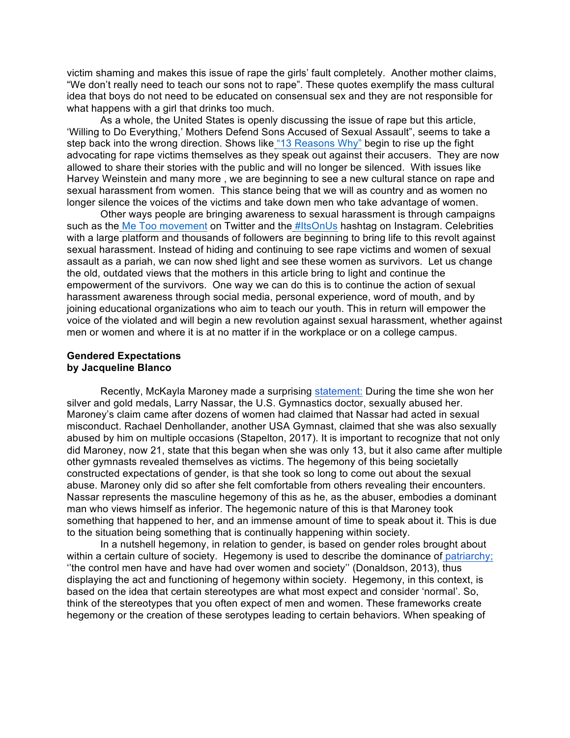victim shaming and makes this issue of rape the girls' fault completely. Another mother claims, "We don't really need to teach our sons not to rape". These quotes exemplify the mass cultural idea that boys do not need to be educated on consensual sex and they are not responsible for what happens with a girl that drinks too much.

As a whole, the United States is openly discussing the issue of rape but this article, 'Willing to Do Everything,' Mothers Defend Sons Accused of Sexual Assault", seems to take a step back into the wrong direction. Shows like "13 Reasons Why" begin to rise up the fight advocating for rape victims themselves as they speak out against their accusers. They are now allowed to share their stories with the public and will no longer be silenced. With issues like Harvey Weinstein and many more , we are beginning to see a new cultural stance on rape and sexual harassment from women. This stance being that we will as country and as women no longer silence the voices of the victims and take down men who take advantage of women.

Other ways people are bringing awareness to sexual harassment is through campaigns such as the Me Too movement on Twitter and the #ItsOnUs hashtag on Instagram. Celebrities with a large platform and thousands of followers are beginning to bring life to this revolt against sexual harassment. Instead of hiding and continuing to see rape victims and women of sexual assault as a pariah, we can now shed light and see these women as survivors. Let us change the old, outdated views that the mothers in this article bring to light and continue the empowerment of the survivors. One way we can do this is to continue the action of sexual harassment awareness through social media, personal experience, word of mouth, and by joining educational organizations who aim to teach our youth. This in return will empower the voice of the violated and will begin a new revolution against sexual harassment, whether against men or women and where it is at no matter if in the workplace or on a college campus.

#### **Gendered Expectations by Jacqueline Blanco**

Recently, McKayla Maroney made a surprising statement: During the time she won her silver and gold medals, Larry Nassar, the U.S. Gymnastics doctor, sexually abused her. Maroney's claim came after dozens of women had claimed that Nassar had acted in sexual misconduct. Rachael Denhollander, another USA Gymnast, claimed that she was also sexually abused by him on multiple occasions (Stapelton, 2017). It is important to recognize that not only did Maroney, now 21, state that this began when she was only 13, but it also came after multiple other gymnasts revealed themselves as victims. The hegemony of this being societally constructed expectations of gender, is that she took so long to come out about the sexual abuse. Maroney only did so after she felt comfortable from others revealing their encounters. Nassar represents the masculine hegemony of this as he, as the abuser, embodies a dominant man who views himself as inferior. The hegemonic nature of this is that Maroney took something that happened to her, and an immense amount of time to speak about it. This is due to the situation being something that is continually happening within society.

In a nutshell hegemony, in relation to gender, is based on gender roles brought about within a certain culture of society. Hegemony is used to describe the dominance of patriarchy; ''the control men have and have had over women and society'' (Donaldson, 2013), thus displaying the act and functioning of hegemony within society. Hegemony, in this context, is based on the idea that certain stereotypes are what most expect and consider 'normal'. So, think of the stereotypes that you often expect of men and women. These frameworks create hegemony or the creation of these serotypes leading to certain behaviors. When speaking of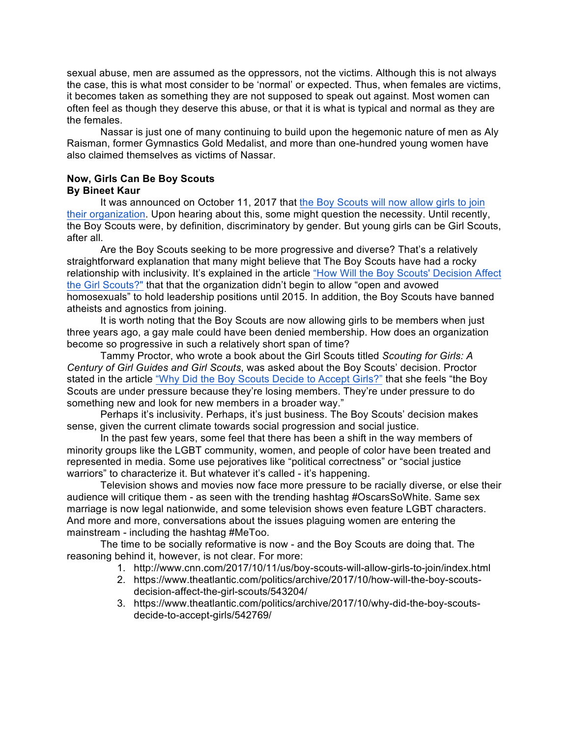sexual abuse, men are assumed as the oppressors, not the victims. Although this is not always the case, this is what most consider to be 'normal' or expected. Thus, when females are victims, it becomes taken as something they are not supposed to speak out against. Most women can often feel as though they deserve this abuse, or that it is what is typical and normal as they are the females.

Nassar is just one of many continuing to build upon the hegemonic nature of men as Aly Raisman, former Gymnastics Gold Medalist, and more than one-hundred young women have also claimed themselves as victims of Nassar.

#### **Now, Girls Can Be Boy Scouts By Bineet Kaur**

It was announced on October 11, 2017 that the Boy Scouts will now allow girls to join their organization. Upon hearing about this, some might question the necessity. Until recently, the Boy Scouts were, by definition, discriminatory by gender. But young girls can be Girl Scouts, after all.

Are the Boy Scouts seeking to be more progressive and diverse? That's a relatively straightforward explanation that many might believe that The Boy Scouts have had a rocky relationship with inclusivity. It's explained in the article "How Will the Boy Scouts' Decision Affect the Girl Scouts?" that that the organization didn't begin to allow "open and avowed homosexuals" to hold leadership positions until 2015. In addition, the Boy Scouts have banned atheists and agnostics from joining.

It is worth noting that the Boy Scouts are now allowing girls to be members when just three years ago, a gay male could have been denied membership. How does an organization become so progressive in such a relatively short span of time?

Tammy Proctor, who wrote a book about the Girl Scouts titled *Scouting for Girls: A Century of Girl Guides and Girl Scouts*, was asked about the Boy Scouts' decision. Proctor stated in the article "Why Did the Boy Scouts Decide to Accept Girls?" that she feels "the Boy Scouts are under pressure because they're losing members. They're under pressure to do something new and look for new members in a broader way."

Perhaps it's inclusivity. Perhaps, it's just business. The Boy Scouts' decision makes sense, given the current climate towards social progression and social justice.

In the past few years, some feel that there has been a shift in the way members of minority groups like the LGBT community, women, and people of color have been treated and represented in media. Some use pejoratives like "political correctness" or "social justice warriors" to characterize it. But whatever it's called - it's happening.

Television shows and movies now face more pressure to be racially diverse, or else their audience will critique them - as seen with the trending hashtag #OscarsSoWhite. Same sex marriage is now legal nationwide, and some television shows even feature LGBT characters. And more and more, conversations about the issues plaguing women are entering the mainstream - including the hashtag #MeToo.

The time to be socially reformative is now - and the Boy Scouts are doing that. The reasoning behind it, however, is not clear. For more:

- 1. http://www.cnn.com/2017/10/11/us/boy-scouts-will-allow-girls-to-join/index.html
- 2. https://www.theatlantic.com/politics/archive/2017/10/how-will-the-boy-scoutsdecision-affect-the-girl-scouts/543204/
- 3. https://www.theatlantic.com/politics/archive/2017/10/why-did-the-boy-scoutsdecide-to-accept-girls/542769/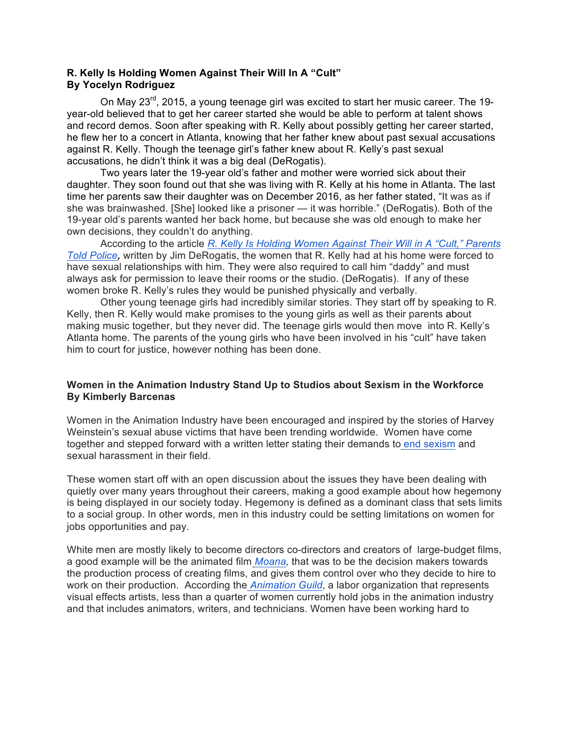### **R. Kelly Is Holding Women Against Their Will In A "Cult" By Yocelyn Rodriguez**

On May  $23^{\text{rd}}$ , 2015, a young teenage girl was excited to start her music career. The 19year-old believed that to get her career started she would be able to perform at talent shows and record demos. Soon after speaking with R. Kelly about possibly getting her career started, he flew her to a concert in Atlanta, knowing that her father knew about past sexual accusations against R. Kelly. Though the teenage girl's father knew about R. Kelly's past sexual accusations, he didn't think it was a big deal (DeRogatis).

Two years later the 19-year old's father and mother were worried sick about their daughter. They soon found out that she was living with R. Kelly at his home in Atlanta. The last time her parents saw their daughter was on December 2016, as her father stated, "It was as if she was brainwashed. [She] looked like a prisoner — it was horrible." (DeRogatis). Both of the 19-year old's parents wanted her back home, but because she was old enough to make her own decisions, they couldn't do anything.

According to the article *R. Kelly Is Holding Women Against Their Will in A "Cult," Parents Told Police,* written by Jim DeRogatis, the women that R. Kelly had at his home were forced to have sexual relationships with him. They were also required to call him "daddy" and must always ask for permission to leave their rooms or the studio. (DeRogatis). If any of these women broke R. Kelly's rules they would be punished physically and verbally.

 Other young teenage girls had incredibly similar stories. They start off by speaking to R. Kelly, then R. Kelly would make promises to the young girls as well as their parents about making music together, but they never did. The teenage girls would then move into R. Kelly's Atlanta home. The parents of the young girls who have been involved in his "cult" have taken him to court for justice, however nothing has been done.

### **Women in the Animation Industry Stand Up to Studios about Sexism in the Workforce By Kimberly Barcenas**

Women in the Animation Industry have been encouraged and inspired by the stories of Harvey Weinstein's sexual abuse victims that have been trending worldwide. Women have come together and stepped forward with a written letter stating their demands to end sexism and sexual harassment in their field.

These women start off with an open discussion about the issues they have been dealing with quietly over many years throughout their careers, making a good example about how hegemony is being displayed in our society today. Hegemony is defined as a dominant class that sets limits to a social group. In other words, men in this industry could be setting limitations on women for jobs opportunities and pay.

White men are mostly likely to become directors co-directors and creators of large-budget films, a good example will be the animated film *Moana,* that was to be the decision makers towards the production process of creating films, and gives them control over who they decide to hire to work on their production. According the *Animation Guild*, a labor organization that represents visual effects artists, less than a quarter of women currently hold jobs in the animation industry and that includes animators, writers, and technicians. Women have been working hard to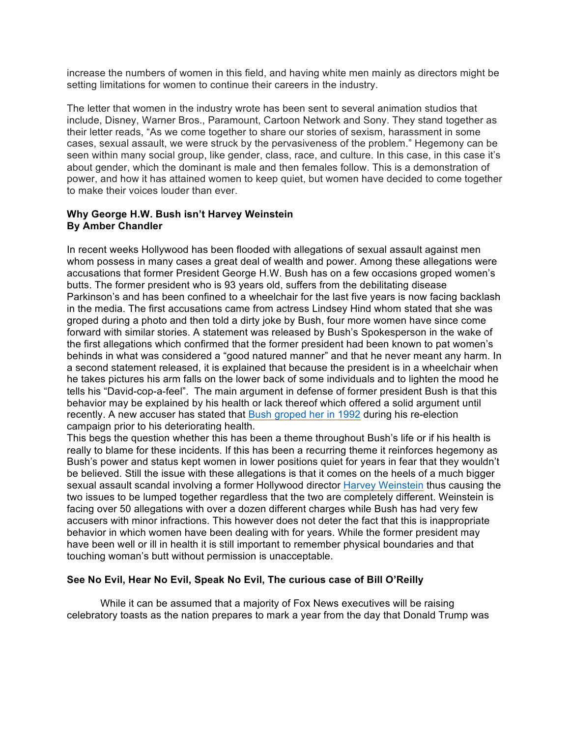increase the numbers of women in this field, and having white men mainly as directors might be setting limitations for women to continue their careers in the industry.

The letter that women in the industry wrote has been sent to several animation studios that include, Disney, Warner Bros., Paramount, Cartoon Network and Sony. They stand together as their letter reads, "As we come together to share our stories of sexism, harassment in some cases, sexual assault, we were struck by the pervasiveness of the problem." Hegemony can be seen within many social group, like gender, class, race, and culture. In this case, in this case it's about gender, which the dominant is male and then females follow. This is a demonstration of power, and how it has attained women to keep quiet, but women have decided to come together to make their voices louder than ever.

#### **Why George H.W. Bush isn't Harvey Weinstein By Amber Chandler**

In recent weeks Hollywood has been flooded with allegations of sexual assault against men whom possess in many cases a great deal of wealth and power. Among these allegations were accusations that former President George H.W. Bush has on a few occasions groped women's butts. The former president who is 93 years old, suffers from the debilitating disease Parkinson's and has been confined to a wheelchair for the last five years is now facing backlash in the media. The first accusations came from actress Lindsey Hind whom stated that she was groped during a photo and then told a dirty joke by Bush, four more women have since come forward with similar stories. A statement was released by Bush's Spokesperson in the wake of the first allegations which confirmed that the former president had been known to pat women's behinds in what was considered a "good natured manner" and that he never meant any harm. In a second statement released, it is explained that because the president is in a wheelchair when he takes pictures his arm falls on the lower back of some individuals and to lighten the mood he tells his "David-cop-a-feel". The main argument in defense of former president Bush is that this behavior may be explained by his health or lack thereof which offered a solid argument until recently. A new accuser has stated that Bush groped her in 1992 during his re-election campaign prior to his deteriorating health.

This begs the question whether this has been a theme throughout Bush's life or if his health is really to blame for these incidents. If this has been a recurring theme it reinforces hegemony as Bush's power and status kept women in lower positions quiet for years in fear that they wouldn't be believed. Still the issue with these allegations is that it comes on the heels of a much bigger sexual assault scandal involving a former Hollywood director Harvey Weinstein thus causing the two issues to be lumped together regardless that the two are completely different. Weinstein is facing over 50 allegations with over a dozen different charges while Bush has had very few accusers with minor infractions. This however does not deter the fact that this is inappropriate behavior in which women have been dealing with for years. While the former president may have been well or ill in health it is still important to remember physical boundaries and that touching woman's butt without permission is unacceptable.

# **See No Evil, Hear No Evil, Speak No Evil, The curious case of Bill O'Reilly**

 While it can be assumed that a majority of Fox News executives will be raising celebratory toasts as the nation prepares to mark a year from the day that Donald Trump was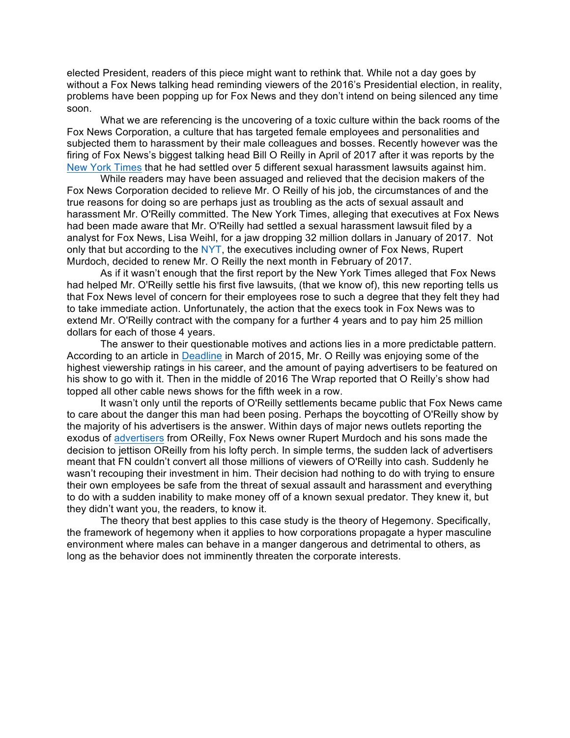elected President, readers of this piece might want to rethink that. While not a day goes by without a Fox News talking head reminding viewers of the 2016's Presidential election, in reality, problems have been popping up for Fox News and they don't intend on being silenced any time soon.

 What we are referencing is the uncovering of a toxic culture within the back rooms of the Fox News Corporation, a culture that has targeted female employees and personalities and subjected them to harassment by their male colleagues and bosses. Recently however was the firing of Fox News's biggest talking head Bill O Reilly in April of 2017 after it was reports by the New York Times that he had settled over 5 different sexual harassment lawsuits against him.

 While readers may have been assuaged and relieved that the decision makers of the Fox News Corporation decided to relieve Mr. O Reilly of his job, the circumstances of and the true reasons for doing so are perhaps just as troubling as the acts of sexual assault and harassment Mr. O'Reilly committed. The New York Times, alleging that executives at Fox News had been made aware that Mr. O'Reilly had settled a sexual harassment lawsuit filed by a analyst for Fox News, Lisa Weihl, for a jaw dropping 32 million dollars in January of 2017. Not only that but according to the NYT, the executives including owner of Fox News, Rupert Murdoch, decided to renew Mr. O Reilly the next month in February of 2017.

 As if it wasn't enough that the first report by the New York Times alleged that Fox News had helped Mr. O'Reilly settle his first five lawsuits, (that we know of), this new reporting tells us that Fox News level of concern for their employees rose to such a degree that they felt they had to take immediate action. Unfortunately, the action that the execs took in Fox News was to extend Mr. O'Reilly contract with the company for a further 4 years and to pay him 25 million dollars for each of those 4 years.

 The answer to their questionable motives and actions lies in a more predictable pattern. According to an article in Deadline in March of 2015, Mr. O Reilly was enjoying some of the highest viewership ratings in his career, and the amount of paying advertisers to be featured on his show to go with it. Then in the middle of 2016 The Wrap reported that O Reilly's show had topped all other cable news shows for the fifth week in a row.

 It wasn't only until the reports of O'Reilly settlements became public that Fox News came to care about the danger this man had been posing. Perhaps the boycotting of O'Reilly show by the majority of his advertisers is the answer. Within days of major news outlets reporting the exodus of advertisers from OReilly, Fox News owner Rupert Murdoch and his sons made the decision to jettison OReilly from his lofty perch. In simple terms, the sudden lack of advertisers meant that FN couldn't convert all those millions of viewers of O'Reilly into cash. Suddenly he wasn't recouping their investment in him. Their decision had nothing to do with trying to ensure their own employees be safe from the threat of sexual assault and harassment and everything to do with a sudden inability to make money off of a known sexual predator. They knew it, but they didn't want you, the readers, to know it.

 The theory that best applies to this case study is the theory of Hegemony. Specifically, the framework of hegemony when it applies to how corporations propagate a hyper masculine environment where males can behave in a manger dangerous and detrimental to others, as long as the behavior does not imminently threaten the corporate interests.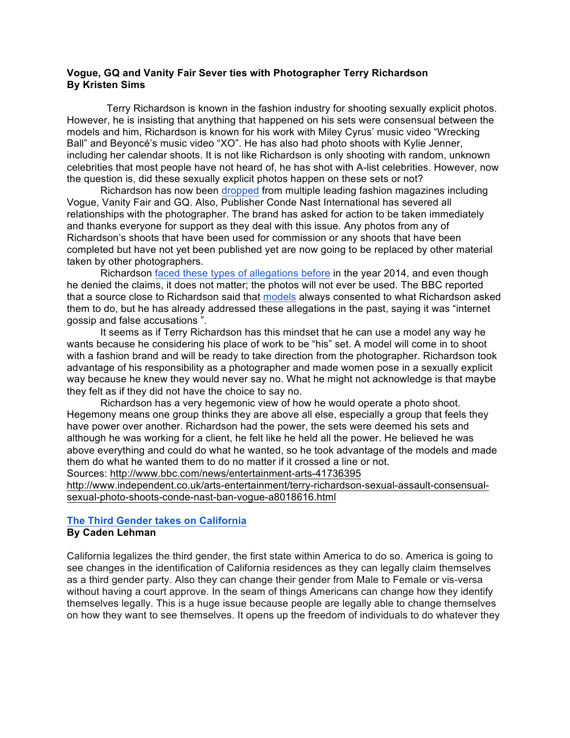#### **Vogue, GQ and Vanity Fair Sever ties with Photographer Terry Richardson By Kristen Sims**

 Terry Richardson is known in the fashion industry for shooting sexually explicit photos. However, he is insisting that anything that happened on his sets were consensual between the models and him, Richardson is known for his work with Miley Cyrus' music video "Wrecking Ball" and Beyoncé's music video "XO". He has also had photo shoots with Kylie Jenner, including her calendar shoots. It is not like Richardson is only shooting with random, unknown celebrities that most people have not heard of, he has shot with A-list celebrities. However, now the question is, did these sexually explicit photos happen on these sets or not?

Richardson has now been dropped from multiple leading fashion magazines including Vogue, Vanity Fair and GQ. Also, Publisher Conde Nast International has severed all relationships with the photographer. The brand has asked for action to be taken immediately and thanks everyone for support as they deal with this issue. Any photos from any of Richardson's shoots that have been used for commission or any shoots that have been completed but have not yet been published yet are now going to be replaced by other material taken by other photographers.

Richardson faced these types of allegations before in the year 2014, and even though he denied the claims, it does not matter; the photos will not ever be used. The BBC reported that a source close to Richardson said that models always consented to what Richardson asked them to do, but he has already addressed these allegations in the past, saying it was "internet gossip and false accusations ".

It seems as if Terry Richardson has this mindset that he can use a model any way he wants because he considering his place of work to be "his" set. A model will come in to shoot with a fashion brand and will be ready to take direction from the photographer. Richardson took advantage of his responsibility as a photographer and made women pose in a sexually explicit way because he knew they would never say no. What he might not acknowledge is that maybe they felt as if they did not have the choice to say no.

Richardson has a very hegemonic view of how he would operate a photo shoot. Hegemony means one group thinks they are above all else, especially a group that feels they have power over another. Richardson had the power, the sets were deemed his sets and although he was working for a client, he felt like he held all the power. He believed he was above everything and could do what he wanted, so he took advantage of the models and made them do what he wanted them to do no matter if it crossed a line or not. Sources: http://www.bbc.com/news/entertainment-arts-41736395

http://www.independent.co.uk/arts-entertainment/terry-richardson-sexual-assault-consensual-

sexual-photo-shoots-conde-nast-ban-vogue-a8018616.html

### **The Third Gender takes on California By Caden Lehman**

California legalizes the third gender, the first state within America to do so. America is going to see changes in the identification of California residences as they can legally claim themselves as a third gender party. Also they can change their gender from Male to Female or vis-versa without having a court approve. In the seam of things Americans can change how they identify themselves legally. This is a huge issue because people are legally able to change themselves on how they want to see themselves. It opens up the freedom of individuals to do whatever they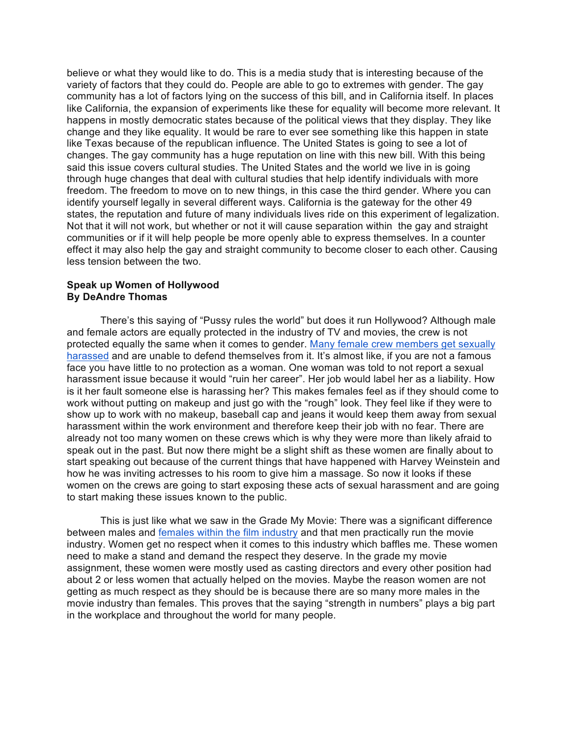believe or what they would like to do. This is a media study that is interesting because of the variety of factors that they could do. People are able to go to extremes with gender. The gay community has a lot of factors lying on the success of this bill, and in California itself. In places like California, the expansion of experiments like these for equality will become more relevant. It happens in mostly democratic states because of the political views that they display. They like change and they like equality. It would be rare to ever see something like this happen in state like Texas because of the republican influence. The United States is going to see a lot of changes. The gay community has a huge reputation on line with this new bill. With this being said this issue covers cultural studies. The United States and the world we live in is going through huge changes that deal with cultural studies that help identify individuals with more freedom. The freedom to move on to new things, in this case the third gender. Where you can identify yourself legally in several different ways. California is the gateway for the other 49 states, the reputation and future of many individuals lives ride on this experiment of legalization. Not that it will not work, but whether or not it will cause separation within the gay and straight communities or if it will help people be more openly able to express themselves. In a counter effect it may also help the gay and straight community to become closer to each other. Causing less tension between the two.

#### **Speak up Women of Hollywood By DeAndre Thomas**

There's this saying of "Pussy rules the world" but does it run Hollywood? Although male and female actors are equally protected in the industry of TV and movies, the crew is not protected equally the same when it comes to gender. Many female crew members get sexually harassed and are unable to defend themselves from it. It's almost like, if you are not a famous face you have little to no protection as a woman. One woman was told to not report a sexual harassment issue because it would "ruin her career". Her job would label her as a liability. How is it her fault someone else is harassing her? This makes females feel as if they should come to work without putting on makeup and just go with the "rough" look. They feel like if they were to show up to work with no makeup, baseball cap and jeans it would keep them away from sexual harassment within the work environment and therefore keep their job with no fear. There are already not too many women on these crews which is why they were more than likely afraid to speak out in the past. But now there might be a slight shift as these women are finally about to start speaking out because of the current things that have happened with Harvey Weinstein and how he was inviting actresses to his room to give him a massage. So now it looks if these women on the crews are going to start exposing these acts of sexual harassment and are going to start making these issues known to the public.

This is just like what we saw in the Grade My Movie: There was a significant difference between males and females within the film industry and that men practically run the movie industry. Women get no respect when it comes to this industry which baffles me. These women need to make a stand and demand the respect they deserve. In the grade my movie assignment, these women were mostly used as casting directors and every other position had about 2 or less women that actually helped on the movies. Maybe the reason women are not getting as much respect as they should be is because there are so many more males in the movie industry than females. This proves that the saying "strength in numbers" plays a big part in the workplace and throughout the world for many people.